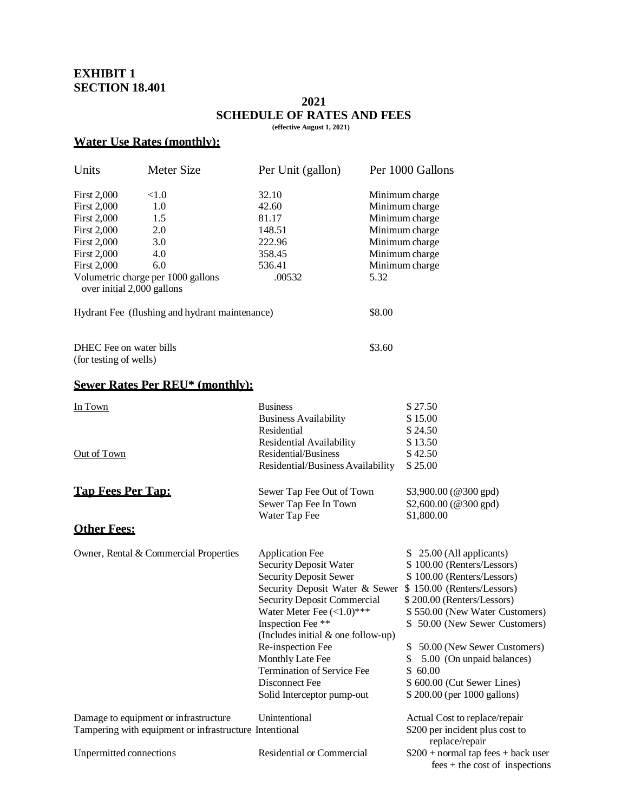# **EXHIBIT 1 SECTION 18.401**

#### **2021 SCHEDULE OF RATES AND FEES (effective August 1, 2021)**

### **Water Use Rates (monthly):**

| Units                                                                                           | Meter Size                                     | Per Unit (gallon)                  |        | Per 1000 Gallons                                                         |
|-------------------------------------------------------------------------------------------------|------------------------------------------------|------------------------------------|--------|--------------------------------------------------------------------------|
| <b>First 2,000</b>                                                                              | <1.0                                           | 32.10                              |        | Minimum charge                                                           |
| <b>First 2,000</b>                                                                              | 1.0                                            | 42.60                              |        | Minimum charge                                                           |
| <b>First 2,000</b>                                                                              | 1.5                                            | 81.17                              |        | Minimum charge                                                           |
| <b>First 2,000</b>                                                                              | 2.0                                            | 148.51                             |        | Minimum charge                                                           |
| <b>First 2,000</b>                                                                              | 3.0                                            | 222.96                             |        | Minimum charge                                                           |
| <b>First 2,000</b>                                                                              | 4.0                                            | 358.45                             |        | Minimum charge                                                           |
| <b>First 2,000</b>                                                                              | 6.0                                            | 536.41                             |        | Minimum charge                                                           |
|                                                                                                 | Volumetric charge per 1000 gallons             | .00532                             | 5.32   |                                                                          |
| over initial 2,000 gallons                                                                      |                                                |                                    |        |                                                                          |
|                                                                                                 | Hydrant Fee (flushing and hydrant maintenance) |                                    | \$8.00 |                                                                          |
| DHEC Fee on water bills                                                                         |                                                |                                    | \$3.60 |                                                                          |
| (for testing of wells)                                                                          |                                                |                                    |        |                                                                          |
|                                                                                                 | <b>Sewer Rates Per REU* (monthly):</b>         |                                    |        |                                                                          |
| In Town                                                                                         |                                                | <b>Business</b>                    |        | \$27.50                                                                  |
|                                                                                                 |                                                | <b>Business Availability</b>       |        | \$15.00                                                                  |
|                                                                                                 |                                                | Residential                        |        | \$24.50                                                                  |
|                                                                                                 |                                                | Residential Availability           |        | \$13.50                                                                  |
| Out of Town                                                                                     |                                                | Residential/Business               |        | \$42.50                                                                  |
|                                                                                                 |                                                | Residential/Business Availability  |        | \$25.00                                                                  |
| <b>Tap Fees Per Tap:</b>                                                                        |                                                | Sewer Tap Fee Out of Town          |        | \$3,900.00 (@300 gpd)                                                    |
|                                                                                                 |                                                | Sewer Tap Fee In Town              |        | $$2,600.00$ (@300 gpd)                                                   |
|                                                                                                 |                                                | Water Tap Fee                      |        | \$1,800.00                                                               |
| <b>Other Fees:</b>                                                                              |                                                |                                    |        |                                                                          |
|                                                                                                 | Owner, Rental & Commercial Properties          | <b>Application Fee</b>             |        | \$25.00 (All applicants)                                                 |
|                                                                                                 |                                                | <b>Security Deposit Water</b>      |        | \$100.00 (Renters/Lessors)                                               |
|                                                                                                 |                                                | <b>Security Deposit Sewer</b>      |        | \$100.00 (Renters/Lessors)                                               |
|                                                                                                 |                                                | Security Deposit Water & Sewer     |        | \$150.00 (Renters/Lessors)                                               |
|                                                                                                 |                                                | <b>Security Deposit Commercial</b> |        | \$200.00 (Renters/Lessors)                                               |
|                                                                                                 |                                                | Water Meter Fee $(<1.0)$ ***       |        | \$550.00 (New Water Customers)                                           |
|                                                                                                 |                                                | Inspection Fee **                  |        | \$50.00 (New Sewer Customers)                                            |
|                                                                                                 |                                                | (Includes initial & one follow-up) |        |                                                                          |
|                                                                                                 |                                                | Re-inspection Fee                  |        | 50.00 (New Sewer Customers)<br>\$                                        |
|                                                                                                 |                                                | Monthly Late Fee                   |        | \$<br>5.00 (On unpaid balances)                                          |
|                                                                                                 |                                                | <b>Termination of Service Fee</b>  |        | \$60.00                                                                  |
|                                                                                                 |                                                | Disconnect Fee                     |        | \$ 600.00 (Cut Sewer Lines)                                              |
|                                                                                                 |                                                | Solid Interceptor pump-out         |        | \$200.00 (per 1000 gallons)                                              |
| Damage to equipment or infrastructure<br>Tampering with equipment or infrastructure Intentional |                                                | Unintentional                      |        | Actual Cost to replace/repair                                            |
|                                                                                                 |                                                |                                    |        | \$200 per incident plus cost to<br>replace/repair                        |
| Unpermitted connections                                                                         |                                                | <b>Residential or Commercial</b>   |        | $$200 + normal$ tap fees + back user<br>$fees + the cost of inspections$ |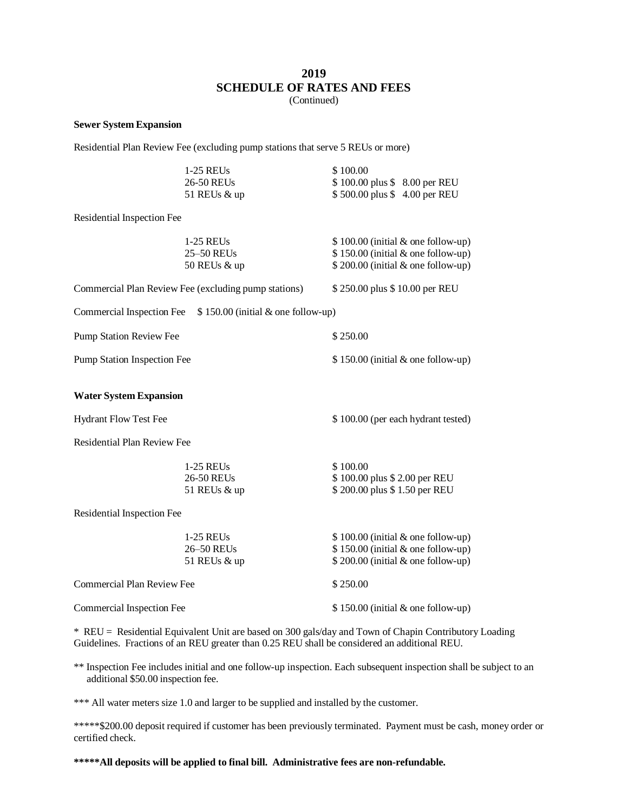# **2019 SCHEDULE OF RATES AND FEES**

(Continued)

#### **Sewer System Expansion**

Residential Plan Review Fee (excluding pump stations that serve 5 REUs or more)

|                                    | $1-25$ REUs                                                   | \$100.00                                                                  |  |  |
|------------------------------------|---------------------------------------------------------------|---------------------------------------------------------------------------|--|--|
|                                    | 26-50 REUs<br>51 REUs & up                                    | \$100.00 plus \$8.00 per REU<br>\$500.00 plus \$4.00 per REU              |  |  |
|                                    |                                                               |                                                                           |  |  |
| Residential Inspection Fee         |                                                               |                                                                           |  |  |
|                                    | 1-25 REUs<br>25-50 REUs                                       | $$100.00$ (initial & one follow-up)<br>\$150.00 (initial & one follow-up) |  |  |
|                                    | 50 REUs & up                                                  | \$200.00 (initial & one follow-up)                                        |  |  |
|                                    | Commercial Plan Review Fee (excluding pump stations)          | \$250.00 plus \$10.00 per REU                                             |  |  |
|                                    | Commercial Inspection Fee $$150.00$ (initial & one follow-up) |                                                                           |  |  |
| <b>Pump Station Review Fee</b>     |                                                               | \$250.00                                                                  |  |  |
| <b>Pump Station Inspection Fee</b> |                                                               | $$150.00$ (initial & one follow-up)                                       |  |  |
| <b>Water System Expansion</b>      |                                                               |                                                                           |  |  |
| <b>Hydrant Flow Test Fee</b>       |                                                               | \$100.00 (per each hydrant tested)                                        |  |  |
| <b>Residential Plan Review Fee</b> |                                                               |                                                                           |  |  |
|                                    | 1-25 REUs                                                     | \$100.00                                                                  |  |  |
|                                    | 26-50 REUs<br>51 REUs & up                                    | \$100.00 plus \$2.00 per REU<br>\$200.00 plus \$1.50 per REU              |  |  |
| Residential Inspection Fee         |                                                               |                                                                           |  |  |
|                                    | 1-25 REUs                                                     | $$100.00$ (initial & one follow-up)                                       |  |  |
|                                    | 26-50 REUs<br>51 REUs & up                                    | \$150.00 (initial & one follow-up)<br>\$200.00 (initial & one follow-up)  |  |  |
| <b>Commercial Plan Review Fee</b>  |                                                               | \$250.00                                                                  |  |  |
| Commercial Inspection Fee          |                                                               | $$150.00$ (initial & one follow-up)                                       |  |  |
|                                    |                                                               |                                                                           |  |  |

\* REU = Residential Equivalent Unit are based on 300 gals/day and Town of Chapin Contributory Loading Guidelines. Fractions of an REU greater than 0.25 REU shall be considered an additional REU.

\*\* Inspection Fee includes initial and one follow-up inspection. Each subsequent inspection shall be subject to an additional \$50.00 inspection fee.

\*\*\* All water meters size 1.0 and larger to be supplied and installed by the customer.

\*\*\*\*\*\$200.00 deposit required if customer has been previously terminated. Payment must be cash, money order or certified check.

**\*\*\*\*\*All deposits will be applied to final bill. Administrative fees are non-refundable.**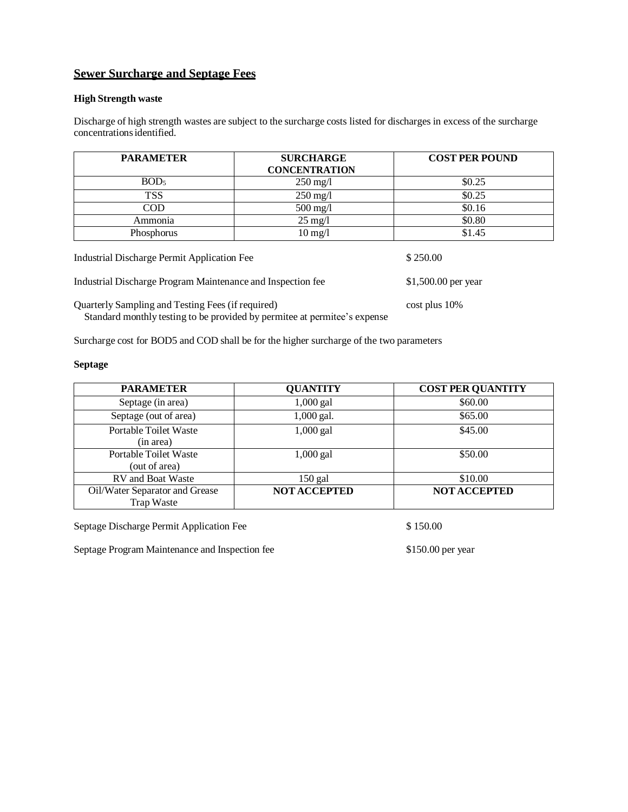# **Sewer Surcharge and Septage Fees**

#### **High Strength waste**

Discharge of high strength wastes are subject to the surcharge costs listed for discharges in excess of the surcharge concentrationsidentified.

| <b>PARAMETER</b> | <b>SURCHARGE</b><br><b>CONCENTRATION</b> | <b>COST PER POUND</b> |
|------------------|------------------------------------------|-----------------------|
| BOD <sub>5</sub> | $250 \text{ mg}/1$                       | \$0.25                |
| <b>TSS</b>       | $250 \text{ mg}/1$                       | \$0.25                |
| <b>COD</b>       | $500$ mg/l                               | \$0.16                |
| Ammonia          | $25 \text{ mg/l}$                        | \$0.80                |
| Phosphorus       | $10 \,\mathrm{mg}/l$                     | \$1.45                |

Industrial Discharge Program Maintenance and Inspection fee \$1,500.00 per year Quarterly Sampling and Testing Fees (if required) cost plus 10%

Standard monthly testing to be provided by permitee at permitee's expense

Surcharge cost for BOD5 and COD shall be for the higher surcharge of the two parameters

#### **Septage**

| <b>PARAMETER</b>                                    | <b>QUANTITY</b>     | <b>COST PER QUANTITY</b> |
|-----------------------------------------------------|---------------------|--------------------------|
| Septage (in area)                                   | $1,000$ gal         | \$60.00                  |
| Septage (out of area)                               | 1,000 gal.          | \$65.00                  |
| <b>Portable Toilet Waste</b><br>(in area)           | $1,000$ gal         | \$45.00                  |
| Portable Toilet Waste<br>(out of area)              | $1,000$ gal         | \$50.00                  |
| <b>RV</b> and Boat Waste                            | $150$ gal           | \$10.00                  |
| Oil/Water Separator and Grease<br><b>Trap Waste</b> | <b>NOT ACCEPTED</b> | <b>NOT ACCEPTED</b>      |

Septage Discharge Permit Application Fee  $$ 150.00$ 

Septage Program Maintenance and Inspection fee \$150.00 per year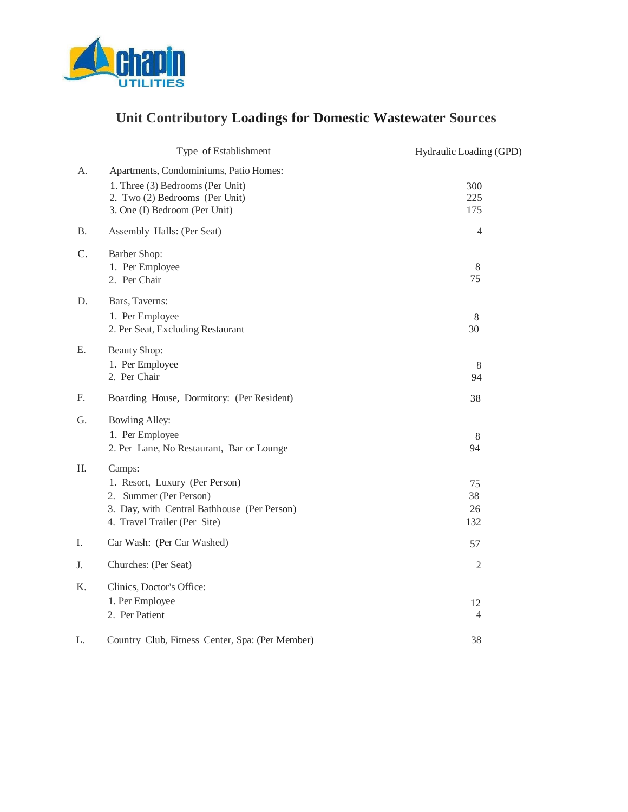

# **Unit Contributory Loadings for Domestic Wastewater Sources**

|           | Type of Establishment                                                                                                                             | Hydraulic Loading (GPD) |
|-----------|---------------------------------------------------------------------------------------------------------------------------------------------------|-------------------------|
| A.        | Apartments, Condominiums, Patio Homes:<br>1. Three (3) Bedrooms (Per Unit)<br>2. Two (2) Bedrooms (Per Unit)<br>3. One (I) Bedroom (Per Unit)     | 300<br>225<br>175       |
| <b>B.</b> | Assembly Halls: (Per Seat)                                                                                                                        | 4                       |
| C.        | Barber Shop:<br>1. Per Employee<br>2. Per Chair                                                                                                   | 8<br>75                 |
| D.        | Bars, Taverns:<br>1. Per Employee<br>2. Per Seat, Excluding Restaurant                                                                            | $\,8\,$<br>30           |
| Ε.        | Beauty Shop:<br>1. Per Employee<br>2. Per Chair                                                                                                   | $8\phantom{.0}$<br>94   |
| F.        | Boarding House, Dormitory: (Per Resident)                                                                                                         | 38                      |
| G.        | <b>Bowling Alley:</b><br>1. Per Employee<br>2. Per Lane, No Restaurant, Bar or Lounge                                                             | 8<br>94                 |
| Η.        | Camps:<br>1. Resort, Luxury (Per Person)<br>2. Summer (Per Person)<br>3. Day, with Central Bathhouse (Per Person)<br>4. Travel Trailer (Per Site) | 75<br>38<br>26<br>132   |
| I.        | Car Wash: (Per Car Washed)                                                                                                                        | 57                      |
| J.        | Churches: (Per Seat)                                                                                                                              | $\mathfrak{2}$          |
| Κ.        | Clinics, Doctor's Office:<br>1. Per Employee<br>2. Per Patient                                                                                    | 12<br>4                 |
| L.        | Country Club, Fitness Center, Spa: (Per Member)                                                                                                   | 38                      |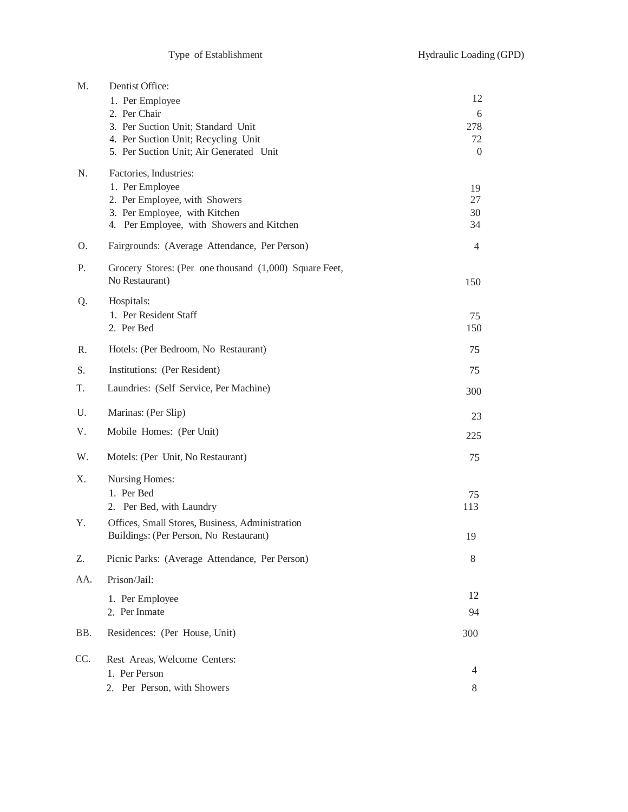| M.  | Dentist Office:<br>1. Per Employee<br>2. Per Chair<br>3. Per Suction Unit; Standard Unit<br>4. Per Suction Unit; Recycling Unit<br>5. Per Suction Unit; Air Generated Unit | 12<br>6<br>278<br>72<br>$\boldsymbol{0}$ |
|-----|----------------------------------------------------------------------------------------------------------------------------------------------------------------------------|------------------------------------------|
| N.  | Factories, Industries:<br>1. Per Employee<br>2. Per Employee, with Showers<br>3. Per Employee, with Kitchen<br>4. Per Employee, with Showers and Kitchen                   | 19<br>27<br>30<br>34                     |
| 0.  | Fairgrounds: (Average Attendance, Per Person)                                                                                                                              | 4                                        |
| Ρ.  | Grocery Stores: (Per one thousand (1,000) Square Feet,<br>No Restaurant)                                                                                                   | 150                                      |
| Q.  | Hospitals:<br>1. Per Resident Staff<br>2. Per Bed                                                                                                                          | 75<br>150                                |
| R.  | Hotels: (Per Bedroom, No Restaurant)                                                                                                                                       | 75                                       |
| S.  | Institutions: (Per Resident)                                                                                                                                               | 75                                       |
| T.  | Laundries: (Self Service, Per Machine)                                                                                                                                     | 300                                      |
| U.  | Marinas: (Per Slip)                                                                                                                                                        | 23                                       |
| V.  | Mobile Homes: (Per Unit)                                                                                                                                                   | 225                                      |
| W.  | Motels: (Per Unit, No Restaurant)                                                                                                                                          | 75                                       |
| Χ.  | Nursing Homes:<br>1. Per Bed<br>2. Per Bed, with Laundry                                                                                                                   | 75<br>113                                |
| Υ.  | Offices, Small Stores, Business, Administration<br>Buildings: (Per Person, No Restaurant)                                                                                  | 19                                       |
| Z.  | Picnic Parks: (Average Attendance, Per Person)                                                                                                                             | 8                                        |
| AA. | Prison/Jail:                                                                                                                                                               |                                          |
|     | 1. Per Employee<br>2. Per Inmate                                                                                                                                           | 12<br>94                                 |
| BB. | Residences: (Per House, Unit)                                                                                                                                              | 300                                      |
| CC. | Rest Areas, Welcome Centers:<br>1. Per Person<br>Per Person, with Showers<br>2.                                                                                            | 4<br>8                                   |
|     |                                                                                                                                                                            |                                          |